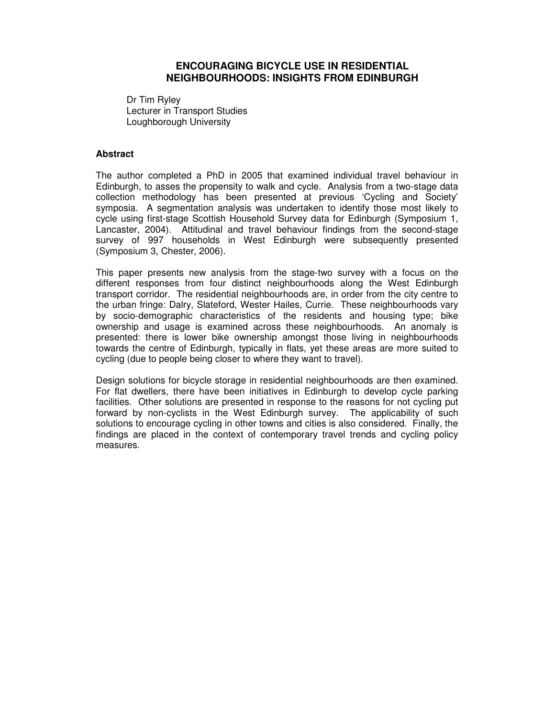# **ENCOURAGING BICYCLE USE IN RESIDENTIAL NEIGHBOURHOODS: INSIGHTS FROM EDINBURGH**

Dr Tim Ryley Lecturer in Transport Studies Loughborough University

#### **Abstract**

The author completed a PhD in 2005 that examined individual travel behaviour in Edinburgh, to asses the propensity to walk and cycle. Analysis from a two-stage data collection methodology has been presented at previous 'Cycling and Society' symposia. A segmentation analysis was undertaken to identify those most likely to cycle using first-stage Scottish Household Survey data for Edinburgh (Symposium 1, Lancaster, 2004). Attitudinal and travel behaviour findings from the second-stage survey of 997 households in West Edinburgh were subsequently presented (Symposium 3, Chester, 2006).

This paper presents new analysis from the stage-two survey with a focus on the different responses from four distinct neighbourhoods along the West Edinburgh transport corridor. The residential neighbourhoods are, in order from the city centre to the urban fringe: Dalry, Slateford, Wester Hailes, Currie. These neighbourhoods vary by socio-demographic characteristics of the residents and housing type; bike ownership and usage is examined across these neighbourhoods. An anomaly is presented: there is lower bike ownership amongst those living in neighbourhoods towards the centre of Edinburgh, typically in flats, yet these areas are more suited to cycling (due to people being closer to where they want to travel).

Design solutions for bicycle storage in residential neighbourhoods are then examined. For flat dwellers, there have been initiatives in Edinburgh to develop cycle parking facilities. Other solutions are presented in response to the reasons for not cycling put forward by non-cyclists in the West Edinburgh survey. The applicability of such solutions to encourage cycling in other towns and cities is also considered. Finally, the findings are placed in the context of contemporary travel trends and cycling policy measures.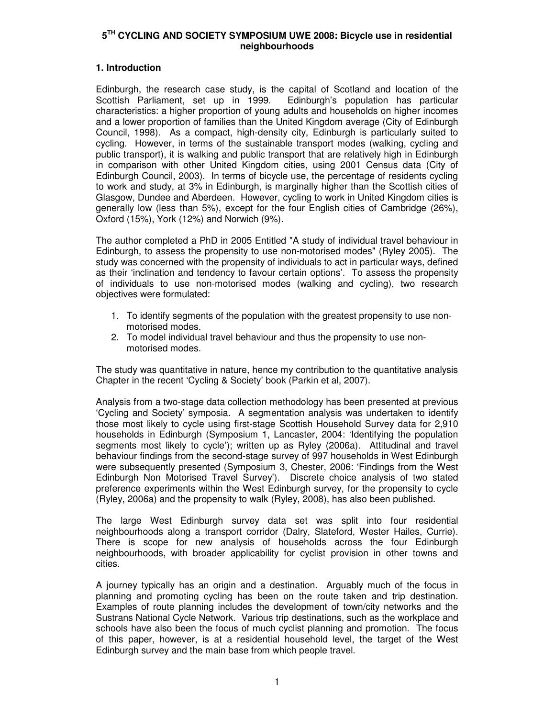# **1. Introduction**

Edinburgh, the research case study, is the capital of Scotland and location of the Scottish Parliament, set up in 1999. Edinburgh's population has particular characteristics: a higher proportion of young adults and households on higher incomes and a lower proportion of families than the United Kingdom average (City of Edinburgh Council, 1998). As a compact, high-density city, Edinburgh is particularly suited to cycling. However, in terms of the sustainable transport modes (walking, cycling and public transport), it is walking and public transport that are relatively high in Edinburgh in comparison with other United Kingdom cities, using 2001 Census data (City of Edinburgh Council, 2003). In terms of bicycle use, the percentage of residents cycling to work and study, at 3% in Edinburgh, is marginally higher than the Scottish cities of Glasgow, Dundee and Aberdeen. However, cycling to work in United Kingdom cities is generally low (less than 5%), except for the four English cities of Cambridge (26%), Oxford (15%), York (12%) and Norwich (9%).

The author completed a PhD in 2005 Entitled "A study of individual travel behaviour in Edinburgh, to assess the propensity to use non-motorised modes" (Ryley 2005). The study was concerned with the propensity of individuals to act in particular ways, defined as their 'inclination and tendency to favour certain options'. To assess the propensity of individuals to use non-motorised modes (walking and cycling), two research objectives were formulated:

- 1. To identify segments of the population with the greatest propensity to use nonmotorised modes.
- 2. To model individual travel behaviour and thus the propensity to use nonmotorised modes.

The study was quantitative in nature, hence my contribution to the quantitative analysis Chapter in the recent 'Cycling & Society' book (Parkin et al, 2007).

Analysis from a two-stage data collection methodology has been presented at previous 'Cycling and Society' symposia. A segmentation analysis was undertaken to identify those most likely to cycle using first-stage Scottish Household Survey data for 2,910 households in Edinburgh (Symposium 1, Lancaster, 2004: 'Identifying the population segments most likely to cycle'); written up as Ryley (2006a). Attitudinal and travel behaviour findings from the second-stage survey of 997 households in West Edinburgh were subsequently presented (Symposium 3, Chester, 2006: 'Findings from the West Edinburgh Non Motorised Travel Survey'). Discrete choice analysis of two stated preference experiments within the West Edinburgh survey, for the propensity to cycle (Ryley, 2006a) and the propensity to walk (Ryley, 2008), has also been published.

The large West Edinburgh survey data set was split into four residential neighbourhoods along a transport corridor (Dalry, Slateford, Wester Hailes, Currie). There is scope for new analysis of households across the four Edinburgh neighbourhoods, with broader applicability for cyclist provision in other towns and cities.

A journey typically has an origin and a destination. Arguably much of the focus in planning and promoting cycling has been on the route taken and trip destination. Examples of route planning includes the development of town/city networks and the Sustrans National Cycle Network. Various trip destinations, such as the workplace and schools have also been the focus of much cyclist planning and promotion. The focus of this paper, however, is at a residential household level, the target of the West Edinburgh survey and the main base from which people travel.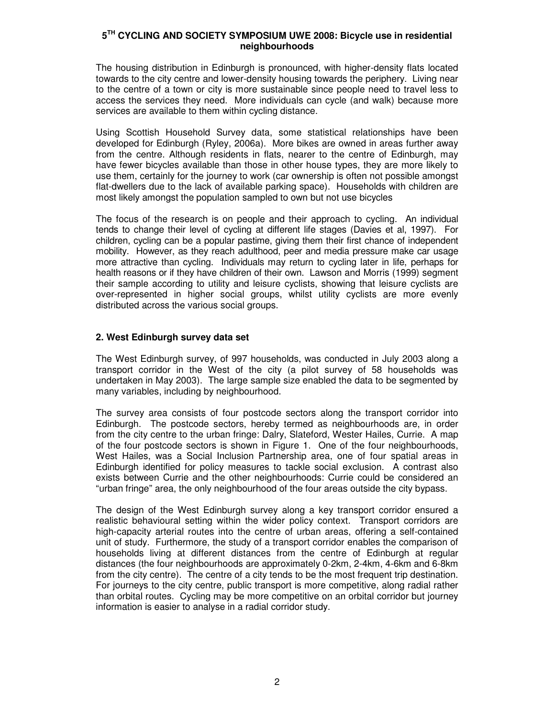The housing distribution in Edinburgh is pronounced, with higher-density flats located towards to the city centre and lower-density housing towards the periphery. Living near to the centre of a town or city is more sustainable since people need to travel less to access the services they need. More individuals can cycle (and walk) because more services are available to them within cycling distance.

Using Scottish Household Survey data, some statistical relationships have been developed for Edinburgh (Ryley, 2006a). More bikes are owned in areas further away from the centre. Although residents in flats, nearer to the centre of Edinburgh, may have fewer bicycles available than those in other house types, they are more likely to use them, certainly for the journey to work (car ownership is often not possible amongst flat-dwellers due to the lack of available parking space). Households with children are most likely amongst the population sampled to own but not use bicycles

The focus of the research is on people and their approach to cycling. An individual tends to change their level of cycling at different life stages (Davies et al, 1997). For children, cycling can be a popular pastime, giving them their first chance of independent mobility. However, as they reach adulthood, peer and media pressure make car usage more attractive than cycling. Individuals may return to cycling later in life, perhaps for health reasons or if they have children of their own. Lawson and Morris (1999) segment their sample according to utility and leisure cyclists, showing that leisure cyclists are over-represented in higher social groups, whilst utility cyclists are more evenly distributed across the various social groups.

# **2. West Edinburgh survey data set**

The West Edinburgh survey, of 997 households, was conducted in July 2003 along a transport corridor in the West of the city (a pilot survey of 58 households was undertaken in May 2003). The large sample size enabled the data to be segmented by many variables, including by neighbourhood.

The survey area consists of four postcode sectors along the transport corridor into Edinburgh. The postcode sectors, hereby termed as neighbourhoods are, in order from the city centre to the urban fringe: Dalry, Slateford, Wester Hailes, Currie. A map of the four postcode sectors is shown in Figure 1. One of the four neighbourhoods, West Hailes, was a Social Inclusion Partnership area, one of four spatial areas in Edinburgh identified for policy measures to tackle social exclusion. A contrast also exists between Currie and the other neighbourhoods: Currie could be considered an "urban fringe" area, the only neighbourhood of the four areas outside the city bypass.

The design of the West Edinburgh survey along a key transport corridor ensured a realistic behavioural setting within the wider policy context. Transport corridors are high-capacity arterial routes into the centre of urban areas, offering a self-contained unit of study. Furthermore, the study of a transport corridor enables the comparison of households living at different distances from the centre of Edinburgh at regular distances (the four neighbourhoods are approximately 0-2km, 2-4km, 4-6km and 6-8km from the city centre). The centre of a city tends to be the most frequent trip destination. For journeys to the city centre, public transport is more competitive, along radial rather than orbital routes. Cycling may be more competitive on an orbital corridor but journey information is easier to analyse in a radial corridor study.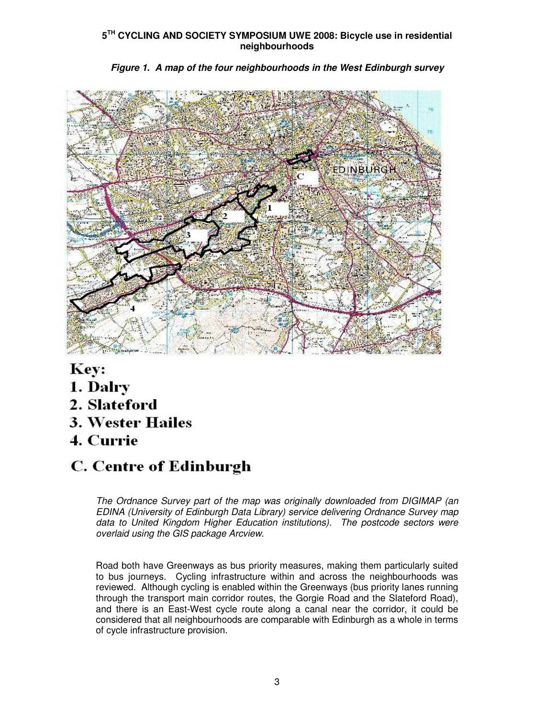

**Figure 1. A map of the four neighbourhoods in the West Edinburgh survey** 

Key:

- 1. Dalry
- 2. Slateford
- **3. Wester Hailes**
- 4. Currie

# **C. Centre of Edinburgh**

The Ordnance Survey part of the map was originally downloaded from DIGIMAP (an EDINA (University of Edinburgh Data Library) service delivering Ordnance Survey map data to United Kingdom Higher Education institutions). The postcode sectors were overlaid using the GIS package Arcview.

Road both have Greenways as bus priority measures, making them particularly suited to bus journeys. Cycling infrastructure within and across the neighbourhoods was reviewed. Although cycling is enabled within the Greenways (bus priority lanes running through the transport main corridor routes, the Gorgie Road and the Slateford Road), and there is an East-West cycle route along a canal near the corridor, it could be considered that all neighbourhoods are comparable with Edinburgh as a whole in terms of cycle infrastructure provision.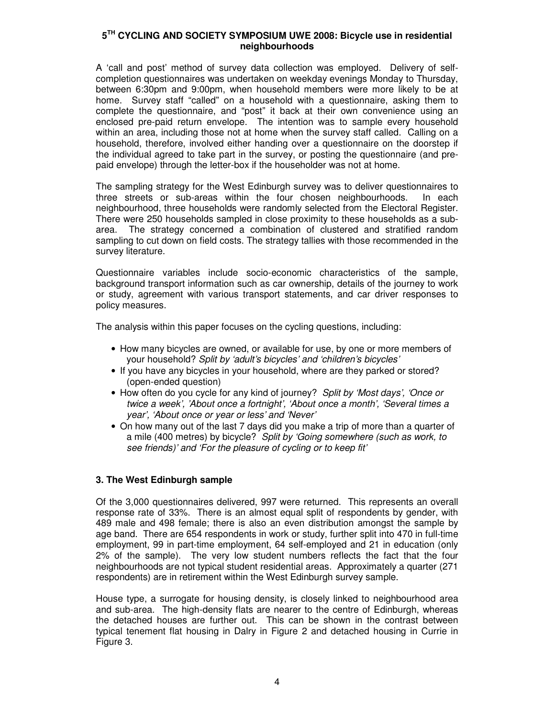A 'call and post' method of survey data collection was employed. Delivery of selfcompletion questionnaires was undertaken on weekday evenings Monday to Thursday, between 6:30pm and 9:00pm, when household members were more likely to be at home. Survey staff "called" on a household with a questionnaire, asking them to complete the questionnaire, and "post" it back at their own convenience using an enclosed pre-paid return envelope.The intention was to sample every household within an area, including those not at home when the survey staff called. Calling on a household, therefore, involved either handing over a questionnaire on the doorstep if the individual agreed to take part in the survey, or posting the questionnaire (and prepaid envelope) through the letter-box if the householder was not at home.

The sampling strategy for the West Edinburgh survey was to deliver questionnaires to three streets or sub-areas within the four chosen neighbourhoods. In each neighbourhood, three households were randomly selected from the Electoral Register. There were 250 households sampled in close proximity to these households as a subarea. The strategy concerned a combination of clustered and stratified random sampling to cut down on field costs. The strategy tallies with those recommended in the survey literature.

Questionnaire variables include socio-economic characteristics of the sample, background transport information such as car ownership, details of the journey to work or study, agreement with various transport statements, and car driver responses to policy measures.

The analysis within this paper focuses on the cycling questions, including:

- How many bicycles are owned, or available for use, by one or more members of your household? Split by 'adult's bicycles' and 'children's bicycles'
- If you have any bicycles in your household, where are they parked or stored? (open-ended question)
- How often do you cycle for any kind of journey? Split by 'Most days', 'Once or twice a week', 'About once a fortnight', 'About once a month', 'Several times a year', 'About once or year or less' and 'Never'
- On how many out of the last 7 days did you make a trip of more than a quarter of a mile (400 metres) by bicycle? Split by 'Going somewhere (such as work, to see friends)' and 'For the pleasure of cycling or to keep fit'

# **3. The West Edinburgh sample**

Of the 3,000 questionnaires delivered, 997 were returned. This represents an overall response rate of 33%. There is an almost equal split of respondents by gender, with 489 male and 498 female; there is also an even distribution amongst the sample by age band. There are 654 respondents in work or study, further split into 470 in full-time employment, 99 in part-time employment, 64 self-employed and 21 in education (only 2% of the sample). The very low student numbers reflects the fact that the four neighbourhoods are not typical student residential areas. Approximately a quarter (271 respondents) are in retirement within the West Edinburgh survey sample.

House type, a surrogate for housing density, is closely linked to neighbourhood area and sub-area. The high-density flats are nearer to the centre of Edinburgh, whereas the detached houses are further out. This can be shown in the contrast between typical tenement flat housing in Dalry in Figure 2 and detached housing in Currie in Figure 3.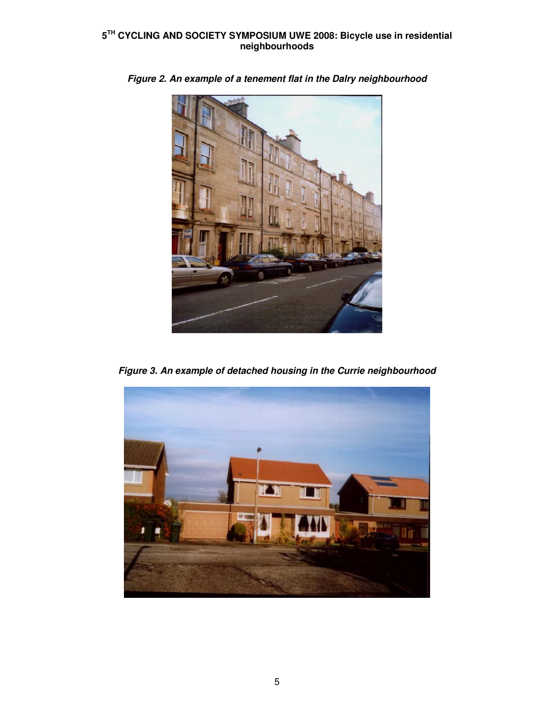

**Figure 2. An example of a tenement flat in the Dalry neighbourhood** 

**Figure 3. An example of detached housing in the Currie neighbourhood** 

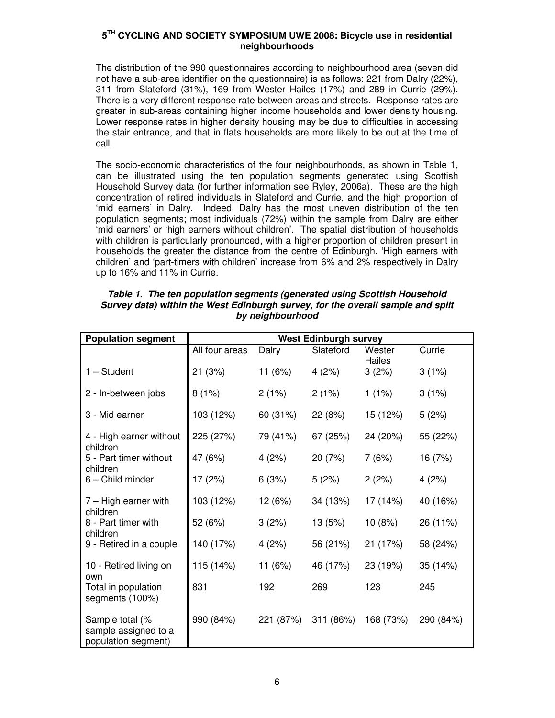The distribution of the 990 questionnaires according to neighbourhood area (seven did not have a sub-area identifier on the questionnaire) is as follows: 221 from Dalry (22%), 311 from Slateford (31%), 169 from Wester Hailes (17%) and 289 in Currie (29%). There is a very different response rate between areas and streets. Response rates are greater in sub-areas containing higher income households and lower density housing. Lower response rates in higher density housing may be due to difficulties in accessing the stair entrance, and that in flats households are more likely to be out at the time of call.

The socio-economic characteristics of the four neighbourhoods, as shown in Table 1, can be illustrated using the ten population segments generated using Scottish Household Survey data (for further information see Ryley, 2006a). These are the high concentration of retired individuals in Slateford and Currie, and the high proportion of 'mid earners' in Dalry. Indeed, Dalry has the most uneven distribution of the ten population segments; most individuals (72%) within the sample from Dalry are either 'mid earners' or 'high earners without children'. The spatial distribution of households with children is particularly pronounced, with a higher proportion of children present in households the greater the distance from the centre of Edinburgh. 'High earners with children' and 'part-timers with children' increase from 6% and 2% respectively in Dalry up to 16% and 11% in Currie.

| <b>Population segment</b>                                      | <b>West Edinburgh survey</b> |           |           |                  |           |
|----------------------------------------------------------------|------------------------------|-----------|-----------|------------------|-----------|
|                                                                | All four areas               | Dalry     | Slateford | Wester<br>Hailes | Currie    |
| $1 - Student$                                                  | 21(3%)                       | 11 $(6%)$ | 4(2%)     | 3(2%)            | 3(1%)     |
| 2 - In-between jobs                                            | 8(1%)                        | 2(1%)     | 2(1%)     | 1(1%)            | 3(1%)     |
| 3 - Mid earner                                                 | 103 (12%)                    | 60 (31%)  | 22(8%)    | 15 (12%)         | 5(2%)     |
| 4 - High earner without<br>children                            | 225 (27%)                    | 79 (41%)  | 67 (25%)  | 24 (20%)         | 55 (22%)  |
| 5 - Part timer without<br>children                             | 47 (6%)                      | 4(2%)     | 20 (7%)   | 7(6%)            | 16 (7%)   |
| 6 - Child minder                                               | 17(2%)                       | 6(3%)     | 5(2%)     | 2(2%)            | 4(2%)     |
| $7 - High$ earner with<br>children                             | 103 (12%)                    | 12 (6%)   | 34 (13%)  | 17 (14%)         | 40 (16%)  |
| 8 - Part timer with<br>children                                | 52 (6%)                      | 3(2%)     | 13 (5%)   | 10 (8%)          | 26 (11%)  |
| 9 - Retired in a couple                                        | 140 (17%)                    | 4(2%)     | 56 (21%)  | 21 (17%)         | 58 (24%)  |
| 10 - Retired living on<br>own                                  | 115 (14%)                    | 11 (6%)   | 46 (17%)  | 23 (19%)         | 35 (14%)  |
| Total in population<br>segments (100%)                         | 831                          | 192       | 269       | 123              | 245       |
| Sample total (%<br>sample assigned to a<br>population segment) | 990 (84%)                    | 221 (87%) | 311 (86%) | 168 (73%)        | 290 (84%) |

#### **Table 1. The ten population segments (generated using Scottish Household Survey data) within the West Edinburgh survey, for the overall sample and split by neighbourhood**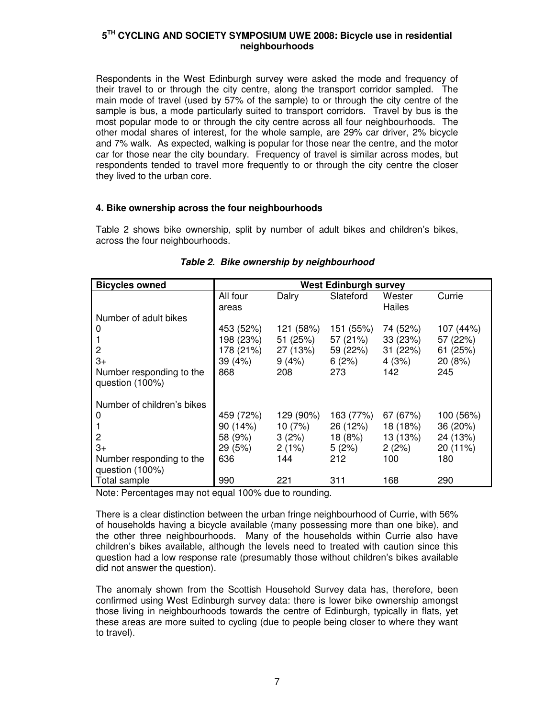Respondents in the West Edinburgh survey were asked the mode and frequency of their travel to or through the city centre, along the transport corridor sampled. The main mode of travel (used by 57% of the sample) to or through the city centre of the sample is bus, a mode particularly suited to transport corridors. Travel by bus is the most popular mode to or through the city centre across all four neighbourhoods. The other modal shares of interest, for the whole sample, are 29% car driver, 2% bicycle and 7% walk. As expected, walking is popular for those near the centre, and the motor car for those near the city boundary.Frequency of travel is similar across modes, but respondents tended to travel more frequently to or through the city centre the closer they lived to the urban core.

#### **4. Bike ownership across the four neighbourhoods**

Table 2 shows bike ownership, split by number of adult bikes and children's bikes, across the four neighbourhoods.

| <b>Bicycles owned</b>                       | <b>West Edinburgh survey</b> |           |           |                  |           |
|---------------------------------------------|------------------------------|-----------|-----------|------------------|-----------|
|                                             | All four<br>areas            | Dalry     | Slateford | Wester<br>Hailes | Currie    |
| Number of adult bikes                       |                              |           |           |                  |           |
| 0                                           | 453 (52%)                    | 121 (58%) | 151 (55%) | 74 (52%)         | 107 (44%) |
|                                             | 198 (23%)                    | 51 (25%)  | 57 (21%)  | 33(23%)          | 57 (22%)  |
| 2                                           | 178 (21%)                    | 27 (13%)  | 59 (22%)  | 31 (22%)         | 61 (25%)  |
| $3+$                                        | 39 (4%)                      | 9(4%)     | 6(2%)     | 4(3%)            | 20 (8%)   |
| Number responding to the<br>question (100%) | 868                          | 208       | 273       | 142              | 245       |
| Number of children's bikes                  |                              |           |           |                  |           |
| 0                                           | 459 (72%)                    | 129 (90%) | 163 (77%) | 67 (67%)         | 100 (56%) |
|                                             | 90 (14%)                     | 10(7%)    | 26 (12%)  | 18 (18%)         | 36 (20%)  |
| 2                                           | 58 (9%)                      | 3(2%)     | 18 (8%)   | 13 (13%)         | 24 (13%)  |
| $3+$                                        | 29 (5%)                      | 2(1%)     | 5(2%)     | 2(2%)            | 20 (11%)  |
| Number responding to the                    | 636                          | 144       | 212       | 100              | 180       |
| question (100%)                             |                              |           |           |                  |           |
| Total sample                                | 990                          | 221       | 311       | 168              | 290       |

# **Table 2. Bike ownership by neighbourhood**

Note: Percentages may not equal 100% due to rounding.

There is a clear distinction between the urban fringe neighbourhood of Currie, with 56% of households having a bicycle available (many possessing more than one bike), and the other three neighbourhoods. Many of the households within Currie also have children's bikes available, although the levels need to treated with caution since this question had a low response rate (presumably those without children's bikes available did not answer the question).

The anomaly shown from the Scottish Household Survey data has, therefore, been confirmed using West Edinburgh survey data: there is lower bike ownership amongst those living in neighbourhoods towards the centre of Edinburgh, typically in flats, yet these areas are more suited to cycling (due to people being closer to where they want to travel).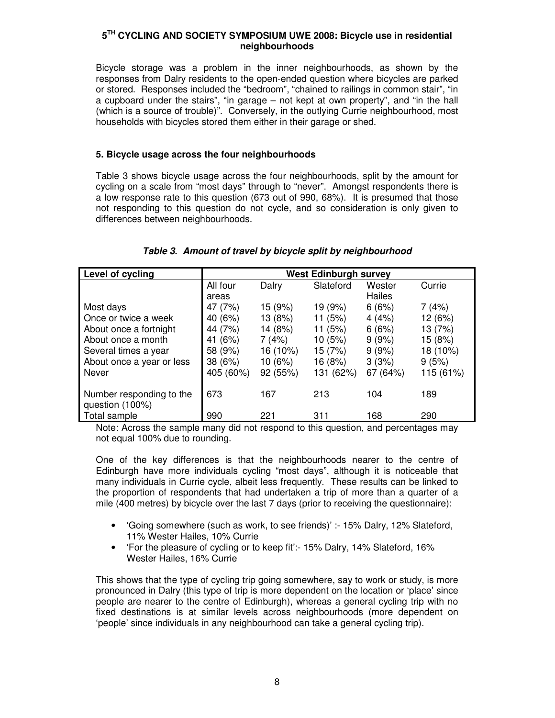Bicycle storage was a problem in the inner neighbourhoods, as shown by the responses from Dalry residents to the open-ended question where bicycles are parked or stored. Responses included the "bedroom", "chained to railings in common stair", "in a cupboard under the stairs", "in garage – not kept at own property", and "in the hall (which is a source of trouble)". Conversely, in the outlying Currie neighbourhood, most households with bicycles stored them either in their garage or shed.

# **5. Bicycle usage across the four neighbourhoods**

Table 3 shows bicycle usage across the four neighbourhoods, split by the amount for cycling on a scale from "most days" through to "never". Amongst respondents there is a low response rate to this question (673 out of 990, 68%). It is presumed that those not responding to this question do not cycle, and so consideration is only given to differences between neighbourhoods.

| Level of cycling                            | <b>West Edinburgh survey</b> |          |           |          |           |
|---------------------------------------------|------------------------------|----------|-----------|----------|-----------|
|                                             | All four                     | Dalry    | Slateford | Wester   | Currie    |
|                                             | areas                        |          |           | Hailes   |           |
| Most days                                   | 47 (7%)                      | 15 (9%)  | 19 (9%)   | 6(6%)    | 7 (4%)    |
| Once or twice a week                        | 40 (6%)                      | 13 (8%)  | 11(5%)    | 4(4%)    | 12 (6%)   |
| About once a fortnight                      | 44 (7%)                      | 14 (8%)  | 11(5%)    | 6(6%)    | 13 (7%)   |
| About once a month                          | (6%)<br>41                   | 7(4%)    | 10(5%)    | 9(9%)    | 15 (8%)   |
| Several times a year                        | 58 (9%)                      | 16 (10%) | 15 (7%)   | 9(9%)    | 18 (10%)  |
| About once a year or less                   | 38(6%)                       | 10 (6%)  | 16 (8%)   | 3(3%)    | 9(5%)     |
| Never                                       | 405 (60%)                    | 92 (55%) | 131 (62%) | 67 (64%) | 115 (61%) |
|                                             |                              |          |           |          |           |
| Number responding to the<br>question (100%) | 673                          | 167      | 213       | 104      | 189       |
| Total sample                                | 990                          | 221      | 311       | 168      | 290       |

# **Table 3. Amount of travel by bicycle split by neighbourhood**

Note: Across the sample many did not respond to this question, and percentages may not equal 100% due to rounding.

One of the key differences is that the neighbourhoods nearer to the centre of Edinburgh have more individuals cycling "most days", although it is noticeable that many individuals in Currie cycle, albeit less frequently. These results can be linked to the proportion of respondents that had undertaken a trip of more than a quarter of a mile (400 metres) by bicycle over the last 7 days (prior to receiving the questionnaire):

- 'Going somewhere (such as work, to see friends)' :- 15% Dalry, 12% Slateford, 11% Wester Hailes, 10% Currie
- 'For the pleasure of cycling or to keep fit':- 15% Dalry, 14% Slateford, 16% Wester Hailes, 16% Currie

This shows that the type of cycling trip going somewhere, say to work or study, is more pronounced in Dalry (this type of trip is more dependent on the location or 'place' since people are nearer to the centre of Edinburgh), whereas a general cycling trip with no fixed destinations is at similar levels across neighbourhoods (more dependent on 'people' since individuals in any neighbourhood can take a general cycling trip).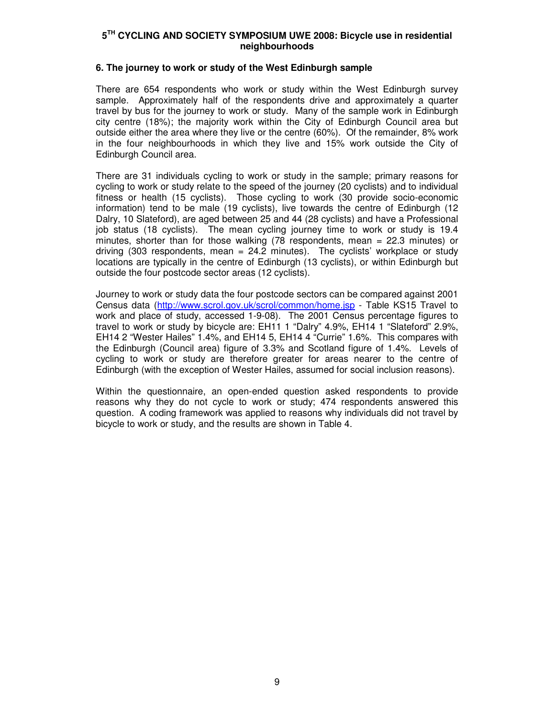#### **6. The journey to work or study of the West Edinburgh sample**

There are 654 respondents who work or study within the West Edinburgh survey sample. Approximately half of the respondents drive and approximately a quarter travel by bus for the journey to work or study. Many of the sample work in Edinburgh city centre (18%); the majority work within the City of Edinburgh Council area but outside either the area where they live or the centre (60%). Of the remainder, 8% work in the four neighbourhoods in which they live and 15% work outside the City of Edinburgh Council area.

There are 31 individuals cycling to work or study in the sample; primary reasons for cycling to work or study relate to the speed of the journey (20 cyclists) and to individual fitness or health (15 cyclists). Those cycling to work (30 provide socio-economic information) tend to be male (19 cyclists), live towards the centre of Edinburgh (12 Dalry, 10 Slateford), are aged between 25 and 44 (28 cyclists) and have a Professional job status (18 cyclists). The mean cycling journey time to work or study is 19.4 minutes, shorter than for those walking (78 respondents, mean = 22.3 minutes) or driving (303 respondents, mean = 24.2 minutes). The cyclists' workplace or study locations are typically in the centre of Edinburgh (13 cyclists), or within Edinburgh but outside the four postcode sector areas (12 cyclists).

Journey to work or study data the four postcode sectors can be compared against 2001 Census data (http://www.scrol.gov.uk/scrol/common/home.jsp - Table KS15 Travel to work and place of study, accessed 1-9-08). The 2001 Census percentage figures to travel to work or study by bicycle are: EH11 1 "Dalry" 4.9%, EH14 1 "Slateford" 2.9%, EH14 2 "Wester Hailes" 1.4%, and EH14 5, EH14 4 "Currie" 1.6%. This compares with the Edinburgh (Council area) figure of 3.3% and Scotland figure of 1.4%. Levels of cycling to work or study are therefore greater for areas nearer to the centre of Edinburgh (with the exception of Wester Hailes, assumed for social inclusion reasons).

Within the questionnaire, an open-ended question asked respondents to provide reasons why they do not cycle to work or study; 474 respondents answered this question. A coding framework was applied to reasons why individuals did not travel by bicycle to work or study, and the results are shown in Table 4.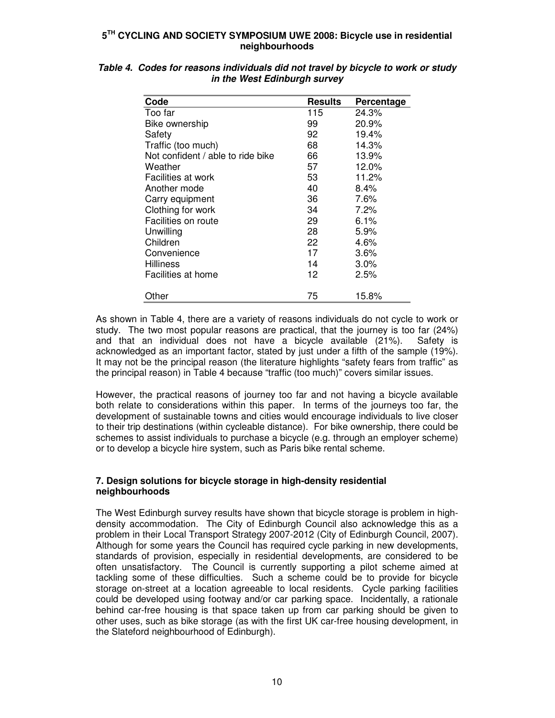| Code                              | <b>Results</b> | Percentage |
|-----------------------------------|----------------|------------|
| Too far                           | 115            | 24.3%      |
| Bike ownership                    | 99             | 20.9%      |
| Safety                            | 92             | 19.4%      |
| Traffic (too much)                | 68             | 14.3%      |
| Not confident / able to ride bike | 66             | 13.9%      |
| Weather                           | 57             | 12.0%      |
| Facilities at work                | 53             | 11.2%      |
| Another mode                      | 40             | 8.4%       |
| Carry equipment                   | 36             | 7.6%       |
| Clothing for work                 | 34             | 7.2%       |
| Facilities on route               | 29             | 6.1%       |
| Unwilling                         | 28             | 5.9%       |
| Children                          | 22             | 4.6%       |
| Convenience                       | 17             | 3.6%       |
| <b>Hilliness</b>                  | 14             | 3.0%       |
| Facilities at home                | 12             | 2.5%       |
|                                   |                |            |
| Other                             | 75             | 15.8%      |

| Table 4. Codes for reasons individuals did not travel by bicycle to work or study |
|-----------------------------------------------------------------------------------|
| in the West Edinburgh survey                                                      |

As shown in Table 4, there are a variety of reasons individuals do not cycle to work or study. The two most popular reasons are practical, that the journey is too far (24%) and that an individual does not have a bicycle available (21%). Safety is acknowledged as an important factor, stated by just under a fifth of the sample (19%). It may not be the principal reason (the literature highlights "safety fears from traffic" as the principal reason) in Table 4 because "traffic (too much)" covers similar issues.

However, the practical reasons of journey too far and not having a bicycle available both relate to considerations within this paper. In terms of the journeys too far, the development of sustainable towns and cities would encourage individuals to live closer to their trip destinations (within cycleable distance). For bike ownership, there could be schemes to assist individuals to purchase a bicycle (e.g. through an employer scheme) or to develop a bicycle hire system, such as Paris bike rental scheme.

# **7. Design solutions for bicycle storage in high-density residential neighbourhoods**

The West Edinburgh survey results have shown that bicycle storage is problem in highdensity accommodation. The City of Edinburgh Council also acknowledge this as a problem in their Local Transport Strategy 2007-2012 (City of Edinburgh Council, 2007). Although for some years the Council has required cycle parking in new developments, standards of provision, especially in residential developments, are considered to be often unsatisfactory. The Council is currently supporting a pilot scheme aimed at tackling some of these difficulties. Such a scheme could be to provide for bicycle storage on-street at a location agreeable to local residents. Cycle parking facilities could be developed using footway and/or car parking space. Incidentally, a rationale behind car-free housing is that space taken up from car parking should be given to other uses, such as bike storage (as with the first UK car-free housing development, in the Slateford neighbourhood of Edinburgh).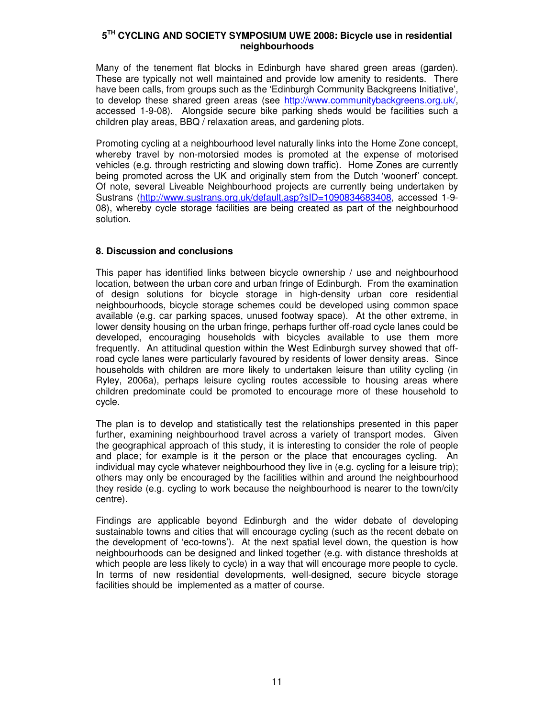Many of the tenement flat blocks in Edinburgh have shared green areas (garden). These are typically not well maintained and provide low amenity to residents. There have been calls, from groups such as the 'Edinburgh Community Backgreens Initiative', to develop these shared green areas (see http://www.communitybackgreens.org.uk/, accessed 1-9-08). Alongside secure bike parking sheds would be facilities such a children play areas, BBQ / relaxation areas, and gardening plots.

Promoting cycling at a neighbourhood level naturally links into the Home Zone concept, whereby travel by non-motorsied modes is promoted at the expense of motorised vehicles (e.g. through restricting and slowing down traffic). Home Zones are currently being promoted across the UK and originally stem from the Dutch 'woonerf' concept. Of note, several Liveable Neighbourhood projects are currently being undertaken by Sustrans (http://www.sustrans.org.uk/default.asp?sID=1090834683408, accessed 1-9- 08), whereby cycle storage facilities are being created as part of the neighbourhood solution.

# **8. Discussion and conclusions**

This paper has identified links between bicycle ownership / use and neighbourhood location, between the urban core and urban fringe of Edinburgh. From the examination of design solutions for bicycle storage in high-density urban core residential neighbourhoods, bicycle storage schemes could be developed using common space available (e.g. car parking spaces, unused footway space). At the other extreme, in lower density housing on the urban fringe, perhaps further off-road cycle lanes could be developed, encouraging households with bicycles available to use them more frequently. An attitudinal question within the West Edinburgh survey showed that offroad cycle lanes were particularly favoured by residents of lower density areas. Since households with children are more likely to undertaken leisure than utility cycling (in Ryley, 2006a), perhaps leisure cycling routes accessible to housing areas where children predominate could be promoted to encourage more of these household to cycle.

The plan is to develop and statistically test the relationships presented in this paper further, examining neighbourhood travel across a variety of transport modes. Given the geographical approach of this study, it is interesting to consider the role of people and place; for example is it the person or the place that encourages cycling. An individual may cycle whatever neighbourhood they live in (e.g. cycling for a leisure trip); others may only be encouraged by the facilities within and around the neighbourhood they reside (e.g. cycling to work because the neighbourhood is nearer to the town/city centre).

Findings are applicable beyond Edinburgh and the wider debate of developing sustainable towns and cities that will encourage cycling (such as the recent debate on the development of 'eco-towns'). At the next spatial level down, the question is how neighbourhoods can be designed and linked together (e.g. with distance thresholds at which people are less likely to cycle) in a way that will encourage more people to cycle. In terms of new residential developments, well-designed, secure bicycle storage facilities should be implemented as a matter of course.